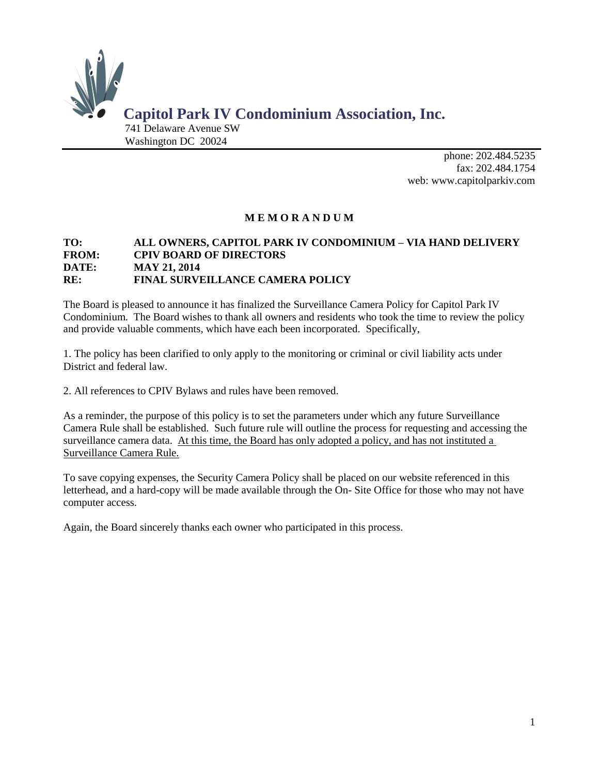

phone: 202.484.5235 fa[x: 202.484.](http://:%20www.capitolparkiv.com)1754 web: www.capitolparkiv.com

# **M E M O R A N D U M**

## **TO: ALL OWNERS, CAPITOL PARK IV CONDOMINIUM – VIA HAND DELIVERY FROM: CPIV BOARD OF DIRECTORS DATE: MAY 21, 2014 RE: FINAL SURVEILLANCE CAMERA POLICY**

The Board is pleased to announce it has finalized the Surveillance Camera Policy for Capitol Park IV Condominium. The Board wishes to thank all owners and residents who took the time to review the policy and provide valuable comments, which have each been incorporated. Specifically,

1. The policy has been clarified to only apply to the monitoring or criminal or civil liability acts under District and federal law.

2. All references to CPIV Bylaws and rules have been removed.

As a reminder, the purpose of this policy is to set the parameters under which any future Surveillance Camera Rule shall be established. Such future rule will outline the process for requesting and accessing the surveillance camera data. At this time, the Board has only adopted a policy, and has not instituted a Surveillance Camera Rule.

To save copying expenses, the Security Camera Policy shall be placed on our website referenced in this letterhead, and a hard-copy will be made available through the On- Site Office for those who may not have computer access.

Again, the Board sincerely thanks each owner who participated in this process.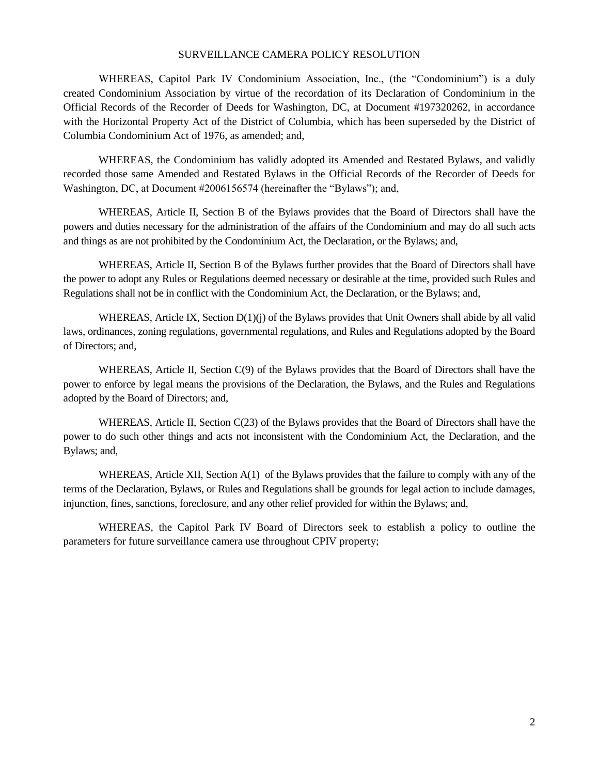#### SURVEILLANCE CAMERA POLICY RESOLUTION

WHEREAS, Capitol Park IV Condominium Association, Inc., (the "Condominium") is a duly created Condominium Association by virtue of the recordation of its Declaration of Condominium in the Official Records of the Recorder of Deeds for Washington, DC, at Document #197320262, in accordance with the Horizontal Property Act of the District of Columbia, which has been superseded by the District of Columbia Condominium Act of 1976, as amended; and,

WHEREAS, the Condominium has validly adopted its Amended and Restated Bylaws, and validly recorded those same Amended and Restated Bylaws in the Official Records of the Recorder of Deeds for Washington, DC, at Document #2006156574 (hereinafter the "Bylaws"); and,

WHEREAS, Article II, Section B of the Bylaws provides that the Board of Directors shall have the powers and duties necessary for the administration of the affairs of the Condominium and may do all such acts and things as are not prohibited by the Condominium Act, the Declaration, or the Bylaws; and,

WHEREAS, Article II, Section B of the Bylaws further provides that the Board of Directors shall have the power to adopt any Rules or Regulations deemed necessary or desirable at the time, provided such Rules and Regulations shall not be in conflict with the Condominium Act, the Declaration, or the Bylaws; and,

WHEREAS, Article IX, Section D(1)(j) of the Bylaws provides that Unit Owners shall abide by all valid laws, ordinances, zoning regulations, governmental regulations, and Rules and Regulations adopted by the Board of Directors; and,

WHEREAS, Article II, Section C(9) of the Bylaws provides that the Board of Directors shall have the power to enforce by legal means the provisions of the Declaration, the Bylaws, and the Rules and Regulations adopted by the Board of Directors; and,

WHEREAS, Article II, Section C(23) of the Bylaws provides that the Board of Directors shall have the power to do such other things and acts not inconsistent with the Condominium Act, the Declaration, and the Bylaws; and,

WHEREAS, Article XII, Section A(1) of the Bylaws provides that the failure to comply with any of the terms of the Declaration, Bylaws, or Rules and Regulations shall be grounds for legal action to include damages, injunction, fines, sanctions, foreclosure, and any other relief provided for within the Bylaws; and,

WHEREAS, the Capitol Park IV Board of Directors seek to establish a policy to outline the parameters for future surveillance camera use throughout CPIV property;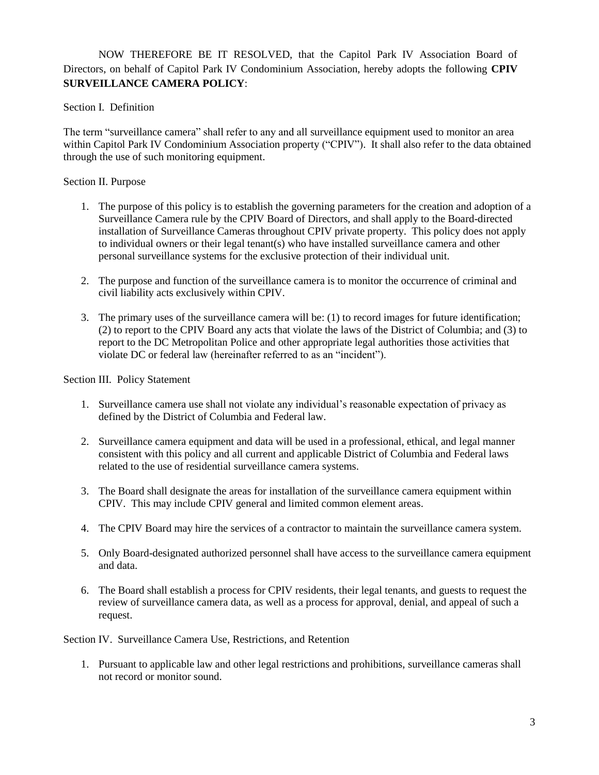NOW THEREFORE BE IT RESOLVED, that the Capitol Park IV Association Board of Directors, on behalf of Capitol Park IV Condominium Association, hereby adopts the following **CPIV SURVEILLANCE CAMERA POLICY**:

Section I. Definition

The term "surveillance camera" shall refer to any and all surveillance equipment used to monitor an area within Capitol Park IV Condominium Association property ("CPIV"). It shall also refer to the data obtained through the use of such monitoring equipment.

# Section II. Purpose

- 1. The purpose of this policy is to establish the governing parameters for the creation and adoption of a Surveillance Camera rule by the CPIV Board of Directors, and shall apply to the Board-directed installation of Surveillance Cameras throughout CPIV private property. This policy does not apply to individual owners or their legal tenant(s) who have installed surveillance camera and other personal surveillance systems for the exclusive protection of their individual unit.
- 2. The purpose and function of the surveillance camera is to monitor the occurrence of criminal and civil liability acts exclusively within CPIV.
- 3. The primary uses of the surveillance camera will be: (1) to record images for future identification; (2) to report to the CPIV Board any acts that violate the laws of the District of Columbia; and (3) to report to the DC Metropolitan Police and other appropriate legal authorities those activities that violate DC or federal law (hereinafter referred to as an "incident").

## Section III. Policy Statement

- 1. Surveillance camera use shall not violate any individual's reasonable expectation of privacy as defined by the District of Columbia and Federal law.
- 2. Surveillance camera equipment and data will be used in a professional, ethical, and legal manner consistent with this policy and all current and applicable District of Columbia and Federal laws related to the use of residential surveillance camera systems.
- 3. The Board shall designate the areas for installation of the surveillance camera equipment within CPIV. This may include CPIV general and limited common element areas.
- 4. The CPIV Board may hire the services of a contractor to maintain the surveillance camera system.
- 5. Only Board-designated authorized personnel shall have access to the surveillance camera equipment and data.
- 6. The Board shall establish a process for CPIV residents, their legal tenants, and guests to request the review of surveillance camera data, as well as a process for approval, denial, and appeal of such a request.

Section IV. Surveillance Camera Use, Restrictions, and Retention

1. Pursuant to applicable law and other legal restrictions and prohibitions, surveillance cameras shall not record or monitor sound.